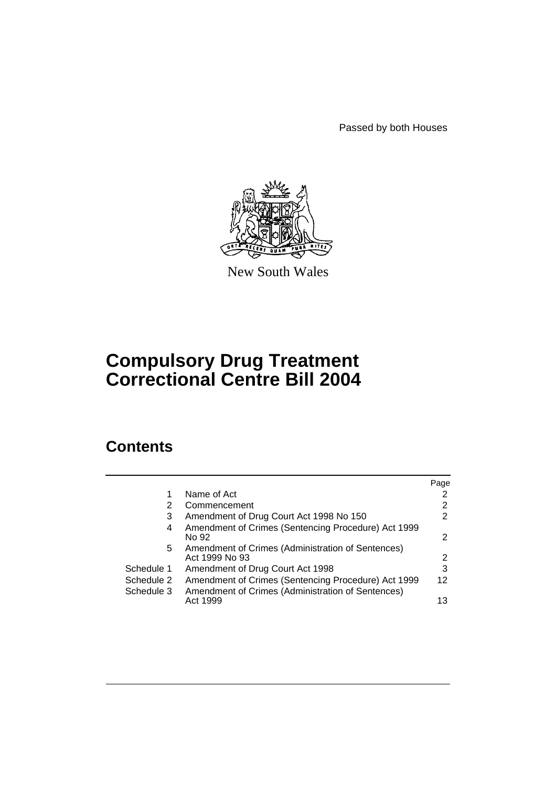Passed by both Houses



New South Wales

# **Compulsory Drug Treatment Correctional Centre Bill 2004**

# **Contents**

| Page |
|------|
|      |
| 2    |
| 2    |
| 2    |
| 2    |
| 3    |
| 12   |
| 13   |
|      |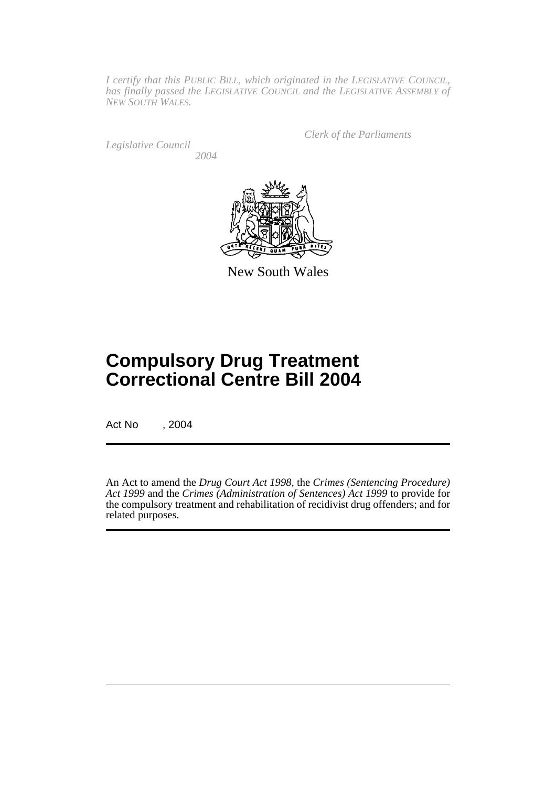*I certify that this PUBLIC BILL, which originated in the LEGISLATIVE COUNCIL, has finally passed the LEGISLATIVE COUNCIL and the LEGISLATIVE ASSEMBLY of NEW SOUTH WALES.*

*Legislative Council 2004* *Clerk of the Parliaments*



New South Wales

# **Compulsory Drug Treatment Correctional Centre Bill 2004**

Act No , 2004

An Act to amend the *Drug Court Act 1998*, the *Crimes (Sentencing Procedure) Act 1999* and the *Crimes (Administration of Sentences) Act 1999* to provide for the compulsory treatment and rehabilitation of recidivist drug offenders; and for related purposes.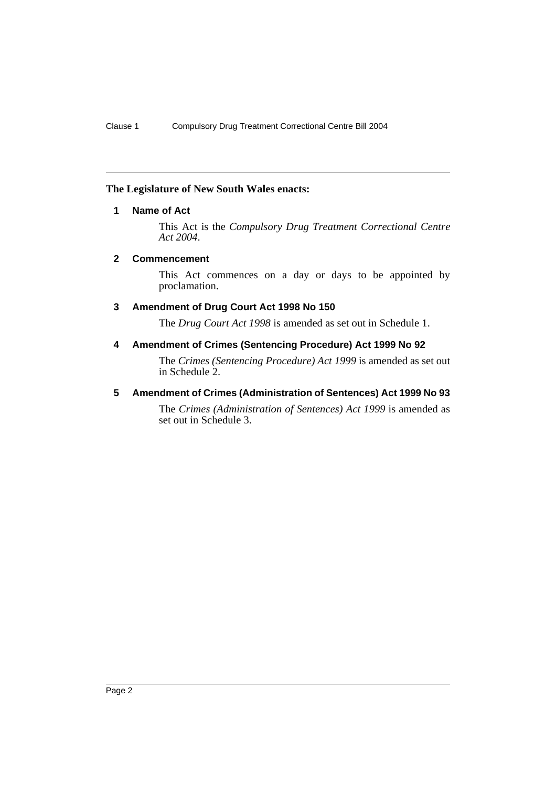# **The Legislature of New South Wales enacts:**

# **1 Name of Act**

This Act is the *Compulsory Drug Treatment Correctional Centre Act 2004*.

#### **2 Commencement**

This Act commences on a day or days to be appointed by proclamation.

# **3 Amendment of Drug Court Act 1998 No 150**

The *Drug Court Act 1998* is amended as set out in Schedule 1.

# **4 Amendment of Crimes (Sentencing Procedure) Act 1999 No 92**

The *Crimes (Sentencing Procedure) Act 1999* is amended as set out in Schedule 2.

# **5 Amendment of Crimes (Administration of Sentences) Act 1999 No 93**

The *Crimes (Administration of Sentences) Act 1999* is amended as set out in Schedule 3.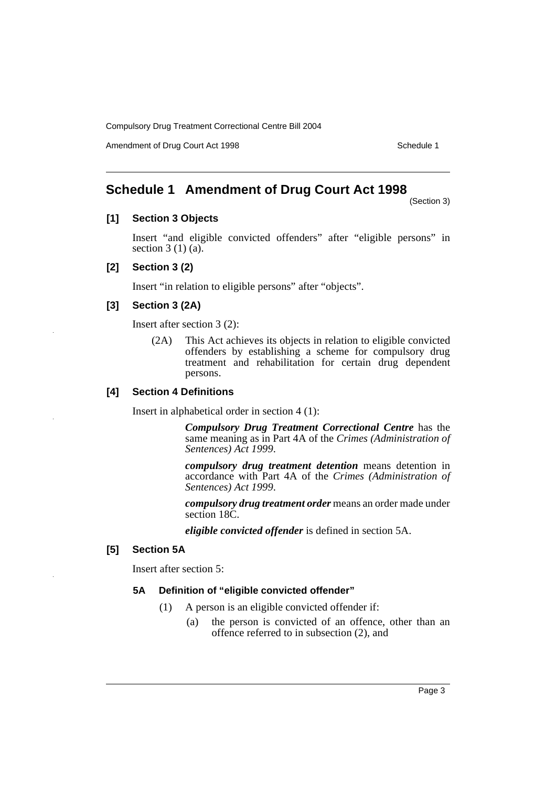Amendment of Drug Court Act 1998 Schedule 1

# **Schedule 1 Amendment of Drug Court Act 1998**

(Section 3)

# **[1] Section 3 Objects**

Insert "and eligible convicted offenders" after "eligible persons" in section  $3(1)(a)$ .

# **[2] Section 3 (2)**

Insert "in relation to eligible persons" after "objects".

# **[3] Section 3 (2A)**

Insert after section 3 (2):

(2A) This Act achieves its objects in relation to eligible convicted offenders by establishing a scheme for compulsory drug treatment and rehabilitation for certain drug dependent persons.

# **[4] Section 4 Definitions**

Insert in alphabetical order in section 4 (1):

*Compulsory Drug Treatment Correctional Centre* has the same meaning as in Part 4A of the *Crimes (Administration of Sentences) Act 1999*.

*compulsory drug treatment detention* means detention in accordance with Part 4A of the *Crimes (Administration of Sentences) Act 1999*.

*compulsory drug treatment order* means an order made under section 18C.

*eligible convicted offender* is defined in section 5A.

# **[5] Section 5A**

Insert after section 5:

# **5A Definition of "eligible convicted offender"**

- (1) A person is an eligible convicted offender if:
	- (a) the person is convicted of an offence, other than an offence referred to in subsection (2), and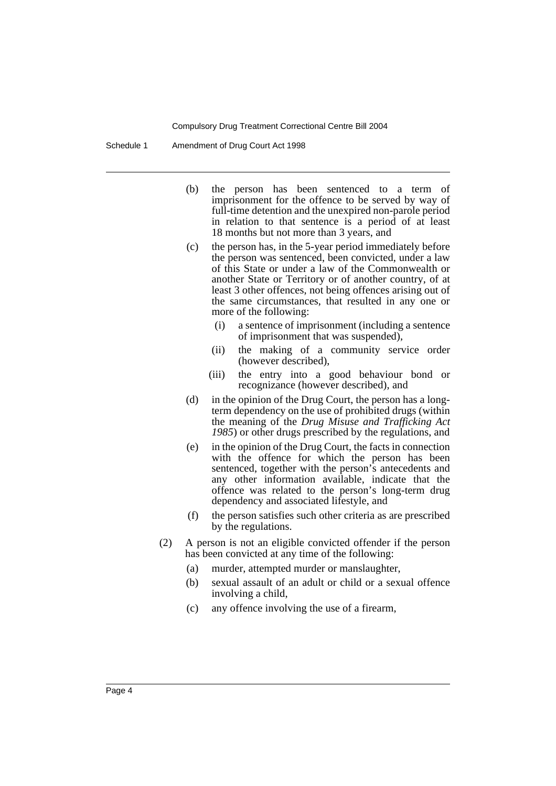Schedule 1 Amendment of Drug Court Act 1998

- (b) the person has been sentenced to a term of imprisonment for the offence to be served by way of full-time detention and the unexpired non-parole period in relation to that sentence is a period of at least 18 months but not more than 3 years, and
- (c) the person has, in the 5-year period immediately before the person was sentenced, been convicted, under a law of this State or under a law of the Commonwealth or another State or Territory or of another country, of at least 3 other offences, not being offences arising out of the same circumstances, that resulted in any one or more of the following:
	- (i) a sentence of imprisonment (including a sentence of imprisonment that was suspended),
	- (ii) the making of a community service order (however described),
	- (iii) the entry into a good behaviour bond or recognizance (however described), and
- (d) in the opinion of the Drug Court, the person has a longterm dependency on the use of prohibited drugs (within the meaning of the *Drug Misuse and Trafficking Act 1985*) or other drugs prescribed by the regulations, and
- (e) in the opinion of the Drug Court, the facts in connection with the offence for which the person has been sentenced, together with the person's antecedents and any other information available, indicate that the offence was related to the person's long-term drug dependency and associated lifestyle, and
- (f) the person satisfies such other criteria as are prescribed by the regulations.
- (2) A person is not an eligible convicted offender if the person has been convicted at any time of the following:
	- (a) murder, attempted murder or manslaughter,
	- (b) sexual assault of an adult or child or a sexual offence involving a child,
	- (c) any offence involving the use of a firearm,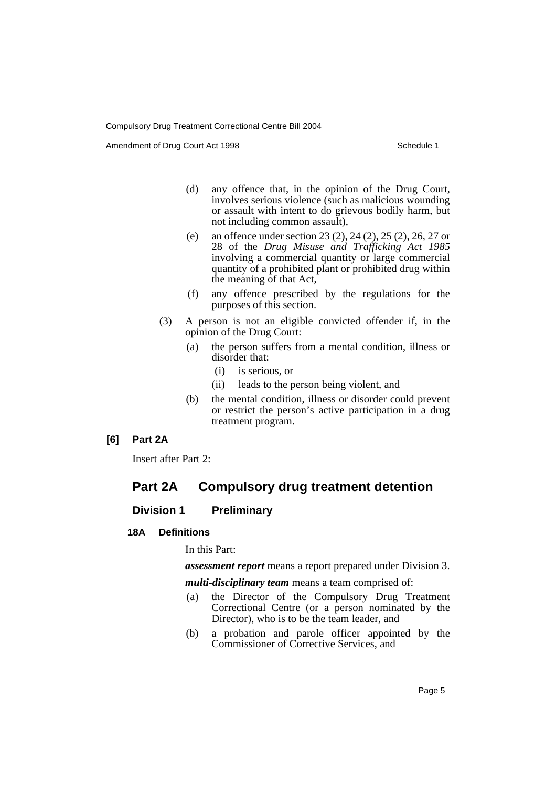Amendment of Drug Court Act 1998 Schedule 1

- (d) any offence that, in the opinion of the Drug Court, involves serious violence (such as malicious wounding or assault with intent to do grievous bodily harm, but not including common assault),
- (e) an offence under section 23 (2), 24 (2), 25 (2), 26, 27 or 28 of the *Drug Misuse and Trafficking Act 1985* involving a commercial quantity or large commercial quantity of a prohibited plant or prohibited drug within the meaning of that Act,
- (f) any offence prescribed by the regulations for the purposes of this section.
- (3) A person is not an eligible convicted offender if, in the opinion of the Drug Court:
	- (a) the person suffers from a mental condition, illness or disorder that:
		- (i) is serious, or
		- (ii) leads to the person being violent, and
	- (b) the mental condition, illness or disorder could prevent or restrict the person's active participation in a drug treatment program.

# **[6] Part 2A**

Insert after Part 2:

# **Part 2A Compulsory drug treatment detention**

# **Division 1 Preliminary**

# **18A Definitions**

In this Part:

*assessment report* means a report prepared under Division 3.

*multi-disciplinary team* means a team comprised of:

- (a) the Director of the Compulsory Drug Treatment Correctional Centre (or a person nominated by the Director), who is to be the team leader, and
- (b) a probation and parole officer appointed by the Commissioner of Corrective Services, and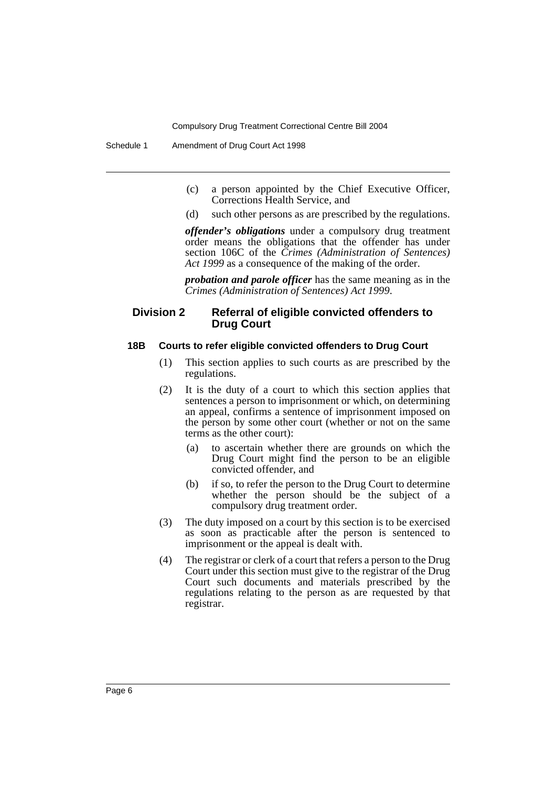Schedule 1 Amendment of Drug Court Act 1998

- (c) a person appointed by the Chief Executive Officer, Corrections Health Service, and
- (d) such other persons as are prescribed by the regulations.

*offender's obligations* under a compulsory drug treatment order means the obligations that the offender has under section 106C of the *Crimes (Administration of Sentences) Act 1999* as a consequence of the making of the order.

*probation and parole officer* has the same meaning as in the *Crimes (Administration of Sentences) Act 1999*.

### **Division 2 Referral of eligible convicted offenders to Drug Court**

#### **18B Courts to refer eligible convicted offenders to Drug Court**

- (1) This section applies to such courts as are prescribed by the regulations.
- (2) It is the duty of a court to which this section applies that sentences a person to imprisonment or which, on determining an appeal, confirms a sentence of imprisonment imposed on the person by some other court (whether or not on the same terms as the other court):
	- (a) to ascertain whether there are grounds on which the Drug Court might find the person to be an eligible convicted offender, and
	- (b) if so, to refer the person to the Drug Court to determine whether the person should be the subject of a compulsory drug treatment order.
- (3) The duty imposed on a court by this section is to be exercised as soon as practicable after the person is sentenced to imprisonment or the appeal is dealt with.
- (4) The registrar or clerk of a court that refers a person to the Drug Court under this section must give to the registrar of the Drug Court such documents and materials prescribed by the regulations relating to the person as are requested by that registrar.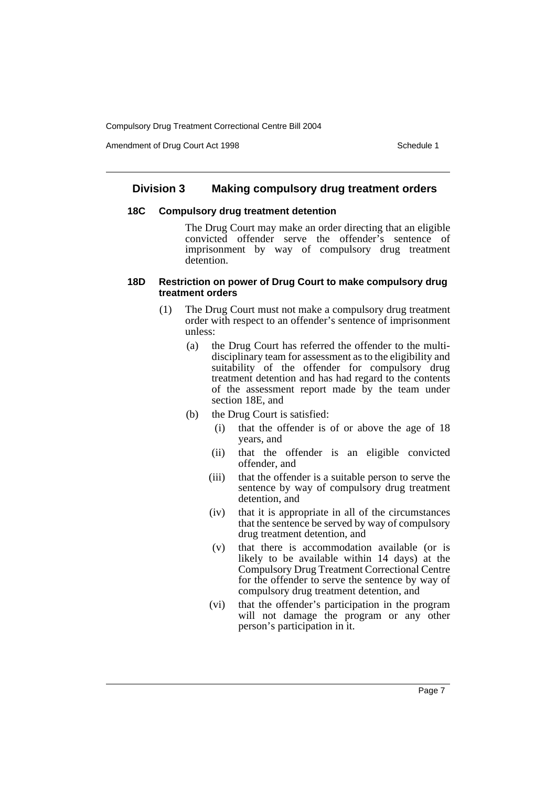Amendment of Drug Court Act 1998 Schedule 1

# **Division 3 Making compulsory drug treatment orders**

#### **18C Compulsory drug treatment detention**

The Drug Court may make an order directing that an eligible convicted offender serve the offender's sentence of imprisonment by way of compulsory drug treatment detention.

#### **18D Restriction on power of Drug Court to make compulsory drug treatment orders**

- (1) The Drug Court must not make a compulsory drug treatment order with respect to an offender's sentence of imprisonment unless:
	- (a) the Drug Court has referred the offender to the multidisciplinary team for assessment as to the eligibility and suitability of the offender for compulsory drug treatment detention and has had regard to the contents of the assessment report made by the team under section 18E, and
	- (b) the Drug Court is satisfied:
		- (i) that the offender is of or above the age of 18 years, and
		- (ii) that the offender is an eligible convicted offender, and
		- (iii) that the offender is a suitable person to serve the sentence by way of compulsory drug treatment detention, and
		- (iv) that it is appropriate in all of the circumstances that the sentence be served by way of compulsory drug treatment detention, and
		- (v) that there is accommodation available (or is likely to be available within 14 days) at the Compulsory Drug Treatment Correctional Centre for the offender to serve the sentence by way of compulsory drug treatment detention, and
		- (vi) that the offender's participation in the program will not damage the program or any other person's participation in it.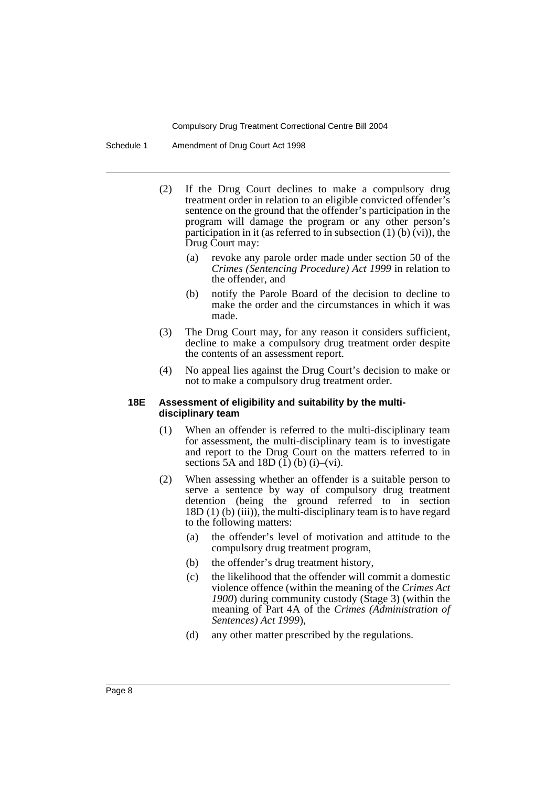Schedule 1 Amendment of Drug Court Act 1998

- (2) If the Drug Court declines to make a compulsory drug treatment order in relation to an eligible convicted offender's sentence on the ground that the offender's participation in the program will damage the program or any other person's participation in it (as referred to in subsection  $(1)$  (b)  $(vi)$ ), the Drug Court may:
	- (a) revoke any parole order made under section 50 of the *Crimes (Sentencing Procedure) Act 1999* in relation to the offender, and
	- (b) notify the Parole Board of the decision to decline to make the order and the circumstances in which it was made.
- (3) The Drug Court may, for any reason it considers sufficient, decline to make a compulsory drug treatment order despite the contents of an assessment report.
- (4) No appeal lies against the Drug Court's decision to make or not to make a compulsory drug treatment order.

#### **18E Assessment of eligibility and suitability by the multidisciplinary team**

- (1) When an offender is referred to the multi-disciplinary team for assessment, the multi-disciplinary team is to investigate and report to the Drug Court on the matters referred to in sections 5A and 18D  $(1)$  (b)  $(i)$ – $(vi)$ .
- (2) When assessing whether an offender is a suitable person to serve a sentence by way of compulsory drug treatment detention (being the ground referred to in section 18D (1) (b) (iii)), the multi-disciplinary team is to have regard to the following matters:
	- (a) the offender's level of motivation and attitude to the compulsory drug treatment program,
	- (b) the offender's drug treatment history,
	- (c) the likelihood that the offender will commit a domestic violence offence (within the meaning of the *Crimes Act 1900*) during community custody (Stage 3) (within the meaning of Part 4A of the *Crimes (Administration of Sentences) Act 1999*),
	- (d) any other matter prescribed by the regulations.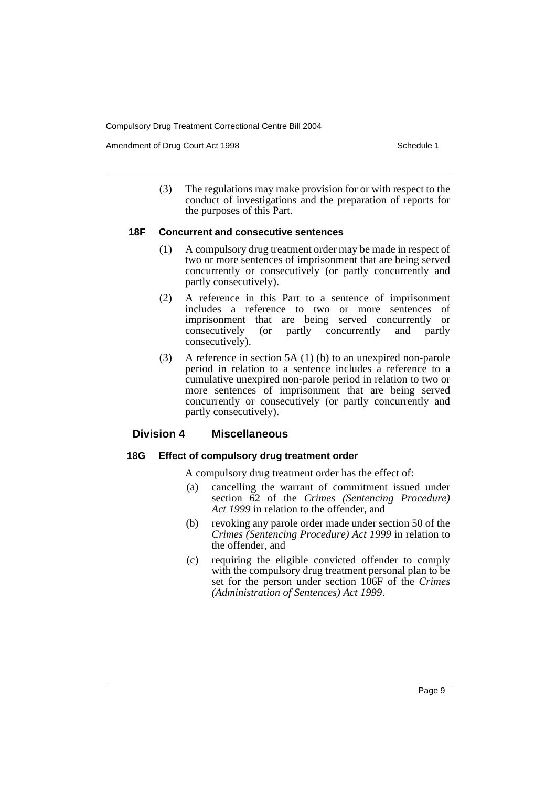Amendment of Drug Court Act 1998 Schedule 1

(3) The regulations may make provision for or with respect to the conduct of investigations and the preparation of reports for the purposes of this Part.

#### **18F Concurrent and consecutive sentences**

- (1) A compulsory drug treatment order may be made in respect of two or more sentences of imprisonment that are being served concurrently or consecutively (or partly concurrently and partly consecutively).
- (2) A reference in this Part to a sentence of imprisonment includes a reference to two or more sentences of imprisonment that are being served concurrently or consecutively (or partly concurrently and partly (or partly concurrently and partly consecutively).
- (3) A reference in section 5A (1) (b) to an unexpired non-parole period in relation to a sentence includes a reference to a cumulative unexpired non-parole period in relation to two or more sentences of imprisonment that are being served concurrently or consecutively (or partly concurrently and partly consecutively).

# **Division 4 Miscellaneous**

# **18G Effect of compulsory drug treatment order**

- A compulsory drug treatment order has the effect of:
- (a) cancelling the warrant of commitment issued under section 62 of the *Crimes (Sentencing Procedure) Act 1999* in relation to the offender, and
- (b) revoking any parole order made under section 50 of the *Crimes (Sentencing Procedure) Act 1999* in relation to the offender, and
- (c) requiring the eligible convicted offender to comply with the compulsory drug treatment personal plan to be set for the person under section 106F of the *Crimes (Administration of Sentences) Act 1999*.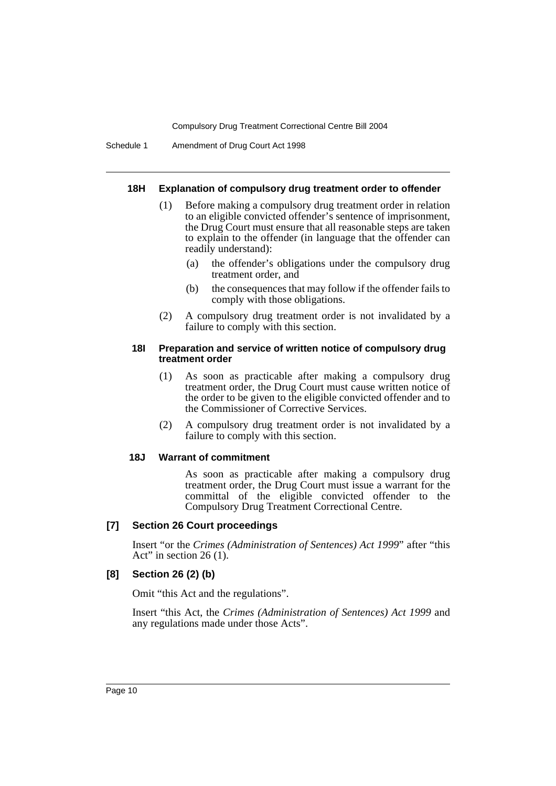Schedule 1 Amendment of Drug Court Act 1998

#### **18H Explanation of compulsory drug treatment order to offender**

- (1) Before making a compulsory drug treatment order in relation to an eligible convicted offender's sentence of imprisonment, the Drug Court must ensure that all reasonable steps are taken to explain to the offender (in language that the offender can readily understand):
	- (a) the offender's obligations under the compulsory drug treatment order, and
	- (b) the consequences that may follow if the offender fails to comply with those obligations.
- (2) A compulsory drug treatment order is not invalidated by a failure to comply with this section.

#### **18I Preparation and service of written notice of compulsory drug treatment order**

- (1) As soon as practicable after making a compulsory drug treatment order, the Drug Court must cause written notice of the order to be given to the eligible convicted offender and to the Commissioner of Corrective Services.
- (2) A compulsory drug treatment order is not invalidated by a failure to comply with this section.

#### **18J Warrant of commitment**

As soon as practicable after making a compulsory drug treatment order, the Drug Court must issue a warrant for the committal of the eligible convicted offender to the Compulsory Drug Treatment Correctional Centre.

# **[7] Section 26 Court proceedings**

Insert "or the *Crimes (Administration of Sentences) Act 1999*" after "this Act" in section 26  $(1)$ .

# **[8] Section 26 (2) (b)**

Omit "this Act and the regulations".

Insert "this Act, the *Crimes (Administration of Sentences) Act 1999* and any regulations made under those Acts".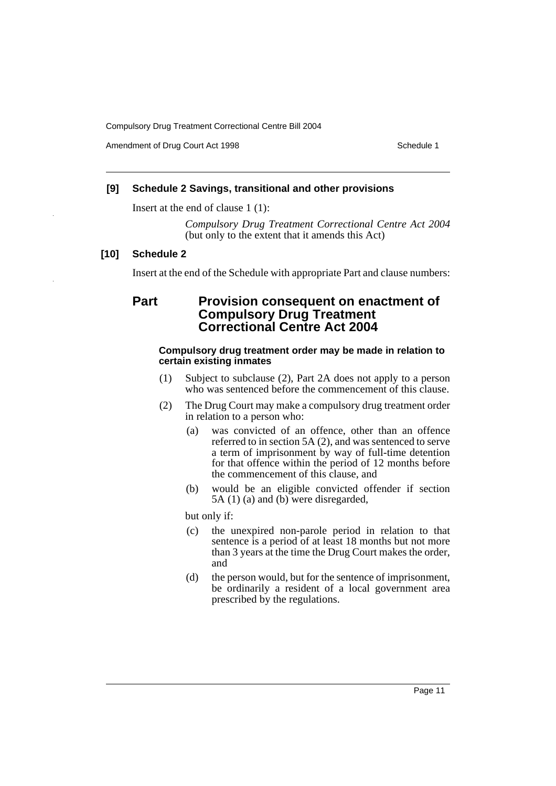Amendment of Drug Court Act 1998 Schedule 1

# **[9] Schedule 2 Savings, transitional and other provisions**

Insert at the end of clause 1 (1):

*Compulsory Drug Treatment Correctional Centre Act 2004* (but only to the extent that it amends this Act)

# **[10] Schedule 2**

Insert at the end of the Schedule with appropriate Part and clause numbers:

# **Part Provision consequent on enactment of Compulsory Drug Treatment Correctional Centre Act 2004**

# **Compulsory drug treatment order may be made in relation to certain existing inmates**

- (1) Subject to subclause (2), Part 2A does not apply to a person who was sentenced before the commencement of this clause.
- (2) The Drug Court may make a compulsory drug treatment order in relation to a person who:
	- (a) was convicted of an offence, other than an offence referred to in section 5A (2), and was sentenced to serve a term of imprisonment by way of full-time detention for that offence within the period of 12 months before the commencement of this clause, and
	- (b) would be an eligible convicted offender if section 5A (1) (a) and (b) were disregarded,

but only if:

- (c) the unexpired non-parole period in relation to that sentence is a period of at least 18 months but not more than 3 years at the time the Drug Court makes the order, and
- (d) the person would, but for the sentence of imprisonment, be ordinarily a resident of a local government area prescribed by the regulations.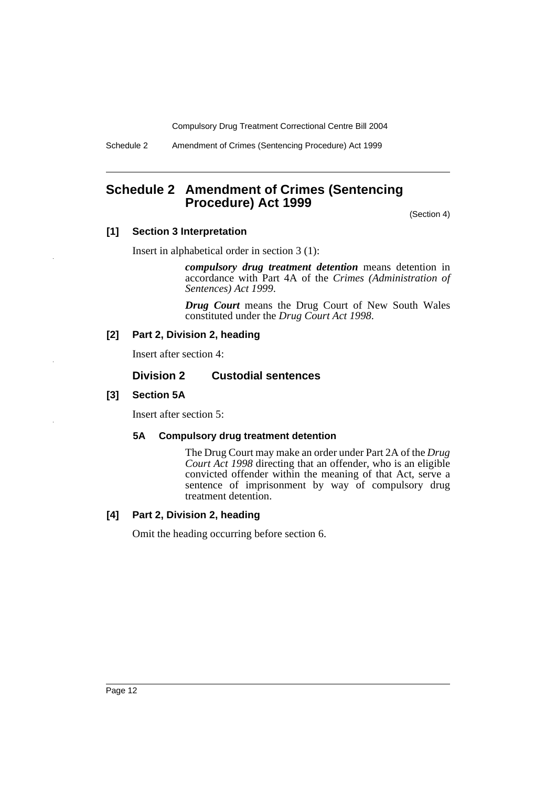Schedule 2 Amendment of Crimes (Sentencing Procedure) Act 1999

# **Schedule 2 Amendment of Crimes (Sentencing Procedure) Act 1999**

(Section 4)

# **[1] Section 3 Interpretation**

Insert in alphabetical order in section 3 (1):

*compulsory drug treatment detention* means detention in accordance with Part 4A of the *Crimes (Administration of Sentences) Act 1999*.

*Drug Court* means the Drug Court of New South Wales constituted under the *Drug Court Act 1998*.

# **[2] Part 2, Division 2, heading**

Insert after section 4:

# **Division 2 Custodial sentences**

# **[3] Section 5A**

Insert after section 5:

# **5A Compulsory drug treatment detention**

The Drug Court may make an order under Part 2A of the *Drug Court Act 1998* directing that an offender, who is an eligible convicted offender within the meaning of that Act, serve a sentence of imprisonment by way of compulsory drug treatment detention.

# **[4] Part 2, Division 2, heading**

Omit the heading occurring before section 6.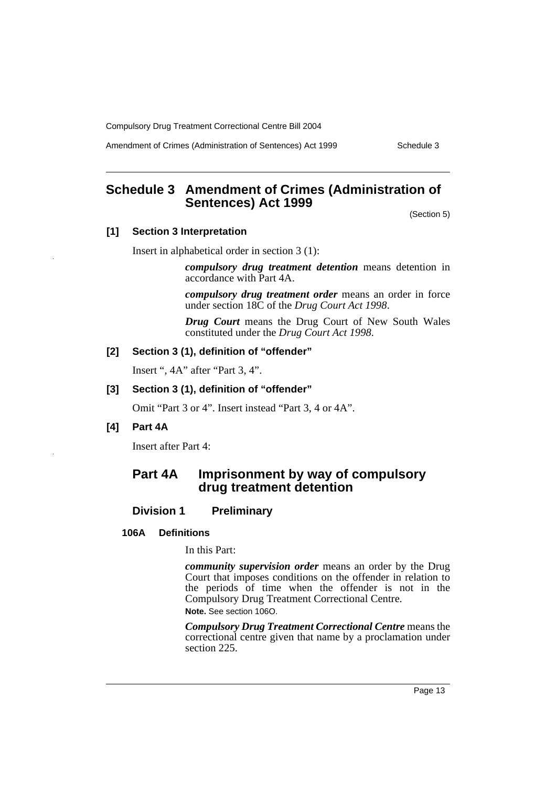Amendment of Crimes (Administration of Sentences) Act 1999 Schedule 3

# **Schedule 3 Amendment of Crimes (Administration of Sentences) Act 1999**

(Section 5)

# **[1] Section 3 Interpretation**

Insert in alphabetical order in section 3 (1):

*compulsory drug treatment detention* means detention in accordance with Part 4A.

*compulsory drug treatment order* means an order in force under section 18C of the *Drug Court Act 1998*.

*Drug Court* means the Drug Court of New South Wales constituted under the *Drug Court Act 1998*.

# **[2] Section 3 (1), definition of "offender"**

Insert ", 4A" after "Part 3, 4".

### **[3] Section 3 (1), definition of "offender"**

Omit "Part 3 or 4". Insert instead "Part 3, 4 or 4A".

#### **[4] Part 4A**

Insert after Part 4:

# **Part 4A Imprisonment by way of compulsory drug treatment detention**

# **Division 1 Preliminary**

#### **106A Definitions**

In this Part:

*community supervision order* means an order by the Drug Court that imposes conditions on the offender in relation to the periods of time when the offender is not in the Compulsory Drug Treatment Correctional Centre. **Note.** See section 106O.

*Compulsory Drug Treatment Correctional Centre* means the correctional centre given that name by a proclamation under section 225.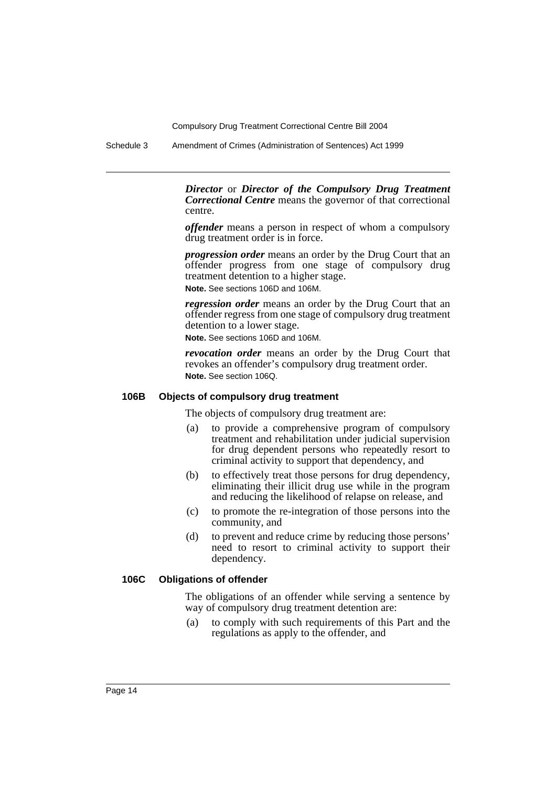Schedule 3 Amendment of Crimes (Administration of Sentences) Act 1999

*Director* or *Director of the Compulsory Drug Treatment Correctional Centre* means the governor of that correctional centre.

*offender* means a person in respect of whom a compulsory drug treatment order is in force.

*progression order* means an order by the Drug Court that an offender progress from one stage of compulsory drug treatment detention to a higher stage. **Note.** See sections 106D and 106M.

*regression order* means an order by the Drug Court that an offender regress from one stage of compulsory drug treatment detention to a lower stage.

**Note.** See sections 106D and 106M.

*revocation order* means an order by the Drug Court that revokes an offender's compulsory drug treatment order. **Note.** See section 106Q.

#### **106B Objects of compulsory drug treatment**

The objects of compulsory drug treatment are:

- (a) to provide a comprehensive program of compulsory treatment and rehabilitation under judicial supervision for drug dependent persons who repeatedly resort to criminal activity to support that dependency, and
- (b) to effectively treat those persons for drug dependency, eliminating their illicit drug use while in the program and reducing the likelihood of relapse on release, and
- (c) to promote the re-integration of those persons into the community, and
- (d) to prevent and reduce crime by reducing those persons' need to resort to criminal activity to support their dependency.

# **106C Obligations of offender**

The obligations of an offender while serving a sentence by way of compulsory drug treatment detention are:

(a) to comply with such requirements of this Part and the regulations as apply to the offender, and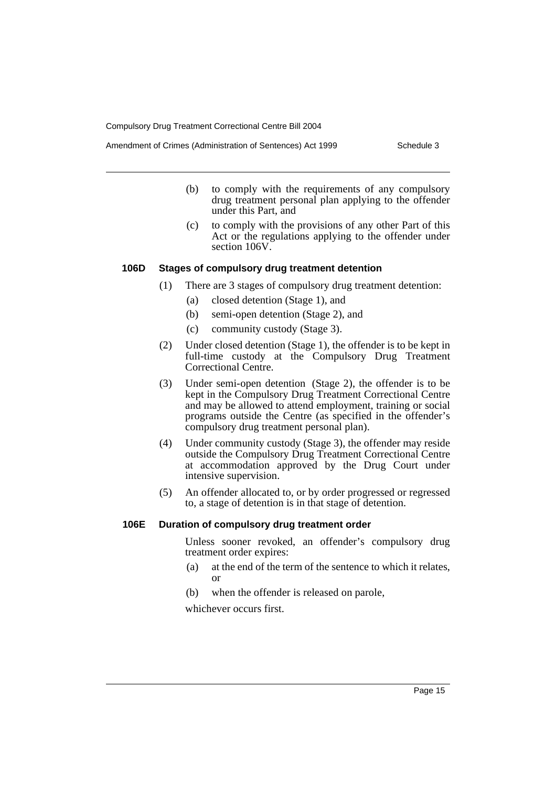- (b) to comply with the requirements of any compulsory drug treatment personal plan applying to the offender under this Part, and
- (c) to comply with the provisions of any other Part of this Act or the regulations applying to the offender under section 106V.

#### **106D Stages of compulsory drug treatment detention**

- (1) There are 3 stages of compulsory drug treatment detention:
	- (a) closed detention (Stage 1), and
	- (b) semi-open detention (Stage 2), and
	- (c) community custody (Stage 3).
- (2) Under closed detention (Stage 1), the offender is to be kept in full-time custody at the Compulsory Drug Treatment Correctional Centre.
- (3) Under semi-open detention (Stage 2), the offender is to be kept in the Compulsory Drug Treatment Correctional Centre and may be allowed to attend employment, training or social programs outside the Centre (as specified in the offender's compulsory drug treatment personal plan).
- (4) Under community custody (Stage 3), the offender may reside outside the Compulsory Drug Treatment Correctional Centre at accommodation approved by the Drug Court under intensive supervision.
- (5) An offender allocated to, or by order progressed or regressed to, a stage of detention is in that stage of detention.

#### **106E Duration of compulsory drug treatment order**

Unless sooner revoked, an offender's compulsory drug treatment order expires:

- (a) at the end of the term of the sentence to which it relates, or
- (b) when the offender is released on parole,

whichever occurs first.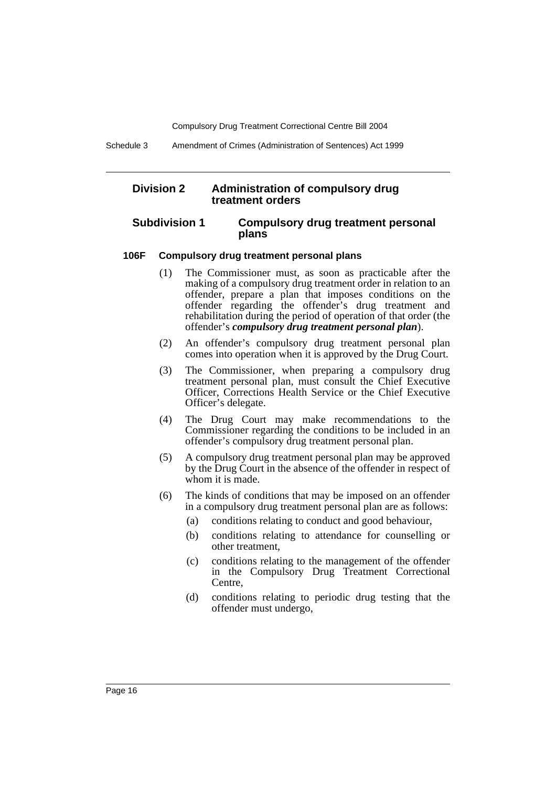Schedule 3 Amendment of Crimes (Administration of Sentences) Act 1999

# **Division 2 Administration of compulsory drug treatment orders**

### **Subdivision 1 Compulsory drug treatment personal plans**

#### **106F Compulsory drug treatment personal plans**

- (1) The Commissioner must, as soon as practicable after the making of a compulsory drug treatment order in relation to an offender, prepare a plan that imposes conditions on the offender regarding the offender's drug treatment and rehabilitation during the period of operation of that order (the offender's *compulsory drug treatment personal plan*).
- (2) An offender's compulsory drug treatment personal plan comes into operation when it is approved by the Drug Court.
- (3) The Commissioner, when preparing a compulsory drug treatment personal plan, must consult the Chief Executive Officer, Corrections Health Service or the Chief Executive Officer's delegate.
- (4) The Drug Court may make recommendations to the Commissioner regarding the conditions to be included in an offender's compulsory drug treatment personal plan.
- (5) A compulsory drug treatment personal plan may be approved by the Drug Court in the absence of the offender in respect of whom it is made.
- (6) The kinds of conditions that may be imposed on an offender in a compulsory drug treatment personal plan are as follows:
	- (a) conditions relating to conduct and good behaviour,
	- (b) conditions relating to attendance for counselling or other treatment,
	- (c) conditions relating to the management of the offender in the Compulsory Drug Treatment Correctional Centre,
	- (d) conditions relating to periodic drug testing that the offender must undergo,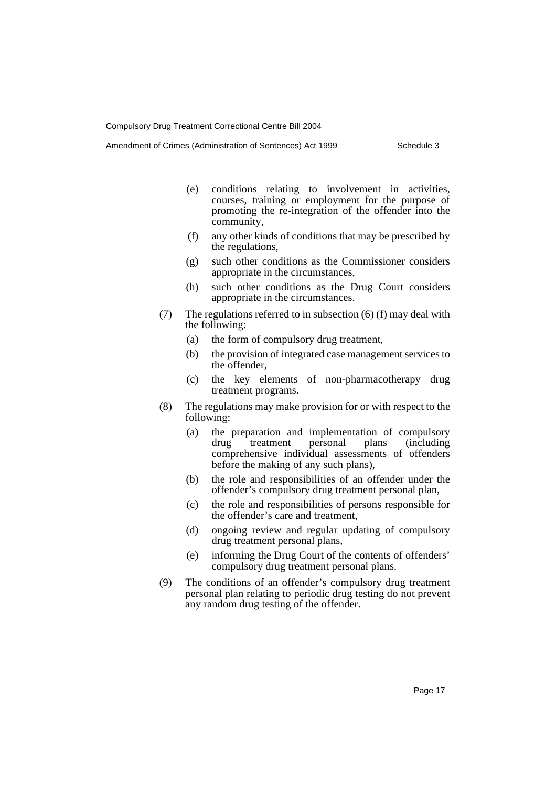- (e) conditions relating to involvement in activities, courses, training or employment for the purpose of promoting the re-integration of the offender into the community,
- (f) any other kinds of conditions that may be prescribed by the regulations,
- (g) such other conditions as the Commissioner considers appropriate in the circumstances,
- (h) such other conditions as the Drug Court considers appropriate in the circumstances.
- (7) The regulations referred to in subsection (6) (f) may deal with the following:
	- (a) the form of compulsory drug treatment,
	- (b) the provision of integrated case management services to the offender,
	- (c) the key elements of non-pharmacotherapy drug treatment programs.
- (8) The regulations may make provision for or with respect to the following:
	- (a) the preparation and implementation of compulsory drug treatment personal plans (including comprehensive individual assessments of offenders before the making of any such plans),
	- (b) the role and responsibilities of an offender under the offender's compulsory drug treatment personal plan,
	- (c) the role and responsibilities of persons responsible for the offender's care and treatment,
	- (d) ongoing review and regular updating of compulsory drug treatment personal plans,
	- (e) informing the Drug Court of the contents of offenders' compulsory drug treatment personal plans.
- (9) The conditions of an offender's compulsory drug treatment personal plan relating to periodic drug testing do not prevent any random drug testing of the offender.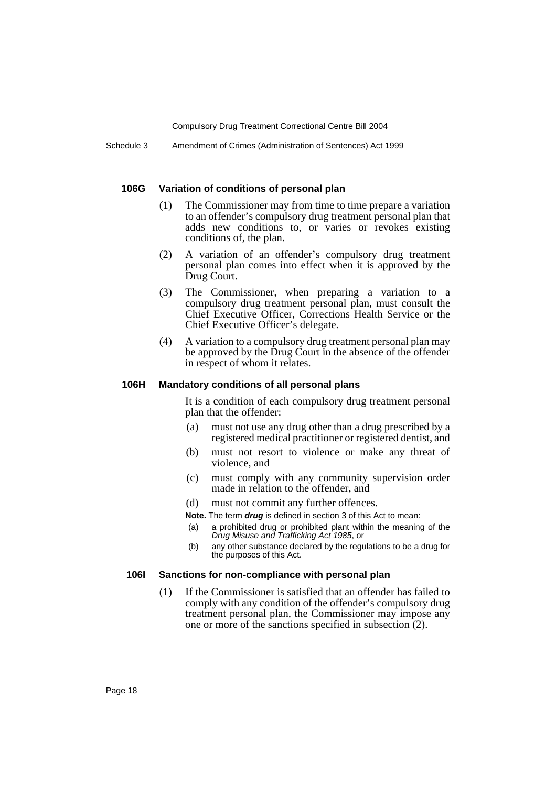Schedule 3 Amendment of Crimes (Administration of Sentences) Act 1999

#### **106G Variation of conditions of personal plan**

- (1) The Commissioner may from time to time prepare a variation to an offender's compulsory drug treatment personal plan that adds new conditions to, or varies or revokes existing conditions of, the plan.
- (2) A variation of an offender's compulsory drug treatment personal plan comes into effect when it is approved by the Drug Court.
- (3) The Commissioner, when preparing a variation to a compulsory drug treatment personal plan, must consult the Chief Executive Officer, Corrections Health Service or the Chief Executive Officer's delegate.
- (4) A variation to a compulsory drug treatment personal plan may be approved by the Drug Court in the absence of the offender in respect of whom it relates.

# **106H Mandatory conditions of all personal plans**

It is a condition of each compulsory drug treatment personal plan that the offender:

- (a) must not use any drug other than a drug prescribed by a registered medical practitioner or registered dentist, and
- (b) must not resort to violence or make any threat of violence, and
- (c) must comply with any community supervision order made in relation to the offender, and
- (d) must not commit any further offences.

**Note.** The term *drug* is defined in section 3 of this Act to mean:

- (a) a prohibited drug or prohibited plant within the meaning of the *Drug Misuse and Trafficking Act 1985*, or
- (b) any other substance declared by the regulations to be a drug for the purposes of this Act.

#### **106I Sanctions for non-compliance with personal plan**

(1) If the Commissioner is satisfied that an offender has failed to comply with any condition of the offender's compulsory drug treatment personal plan, the Commissioner may impose any one or more of the sanctions specified in subsection (2).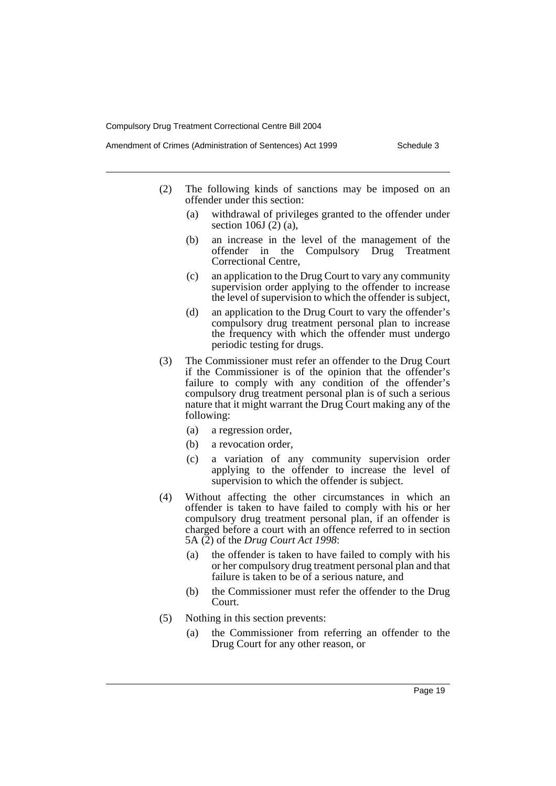- (2) The following kinds of sanctions may be imposed on an offender under this section:
	- (a) withdrawal of privileges granted to the offender under section 106J (2) (a),
	- (b) an increase in the level of the management of the offender in the Compulsory Drug Treatment Correctional Centre,
	- (c) an application to the Drug Court to vary any community supervision order applying to the offender to increase the level of supervision to which the offender is subject,
	- (d) an application to the Drug Court to vary the offender's compulsory drug treatment personal plan to increase the frequency with which the offender must undergo periodic testing for drugs.
- (3) The Commissioner must refer an offender to the Drug Court if the Commissioner is of the opinion that the offender's failure to comply with any condition of the offender's compulsory drug treatment personal plan is of such a serious nature that it might warrant the Drug Court making any of the following:
	- (a) a regression order,
	- (b) a revocation order,
	- (c) a variation of any community supervision order applying to the offender to increase the level of supervision to which the offender is subject.
- (4) Without affecting the other circumstances in which an offender is taken to have failed to comply with his or her compulsory drug treatment personal plan, if an offender is charged before a court with an offence referred to in section 5A (2) of the *Drug Court Act 1998*:
	- (a) the offender is taken to have failed to comply with his or her compulsory drug treatment personal plan and that failure is taken to be of a serious nature, and
	- (b) the Commissioner must refer the offender to the Drug Court.
- (5) Nothing in this section prevents:
	- (a) the Commissioner from referring an offender to the Drug Court for any other reason, or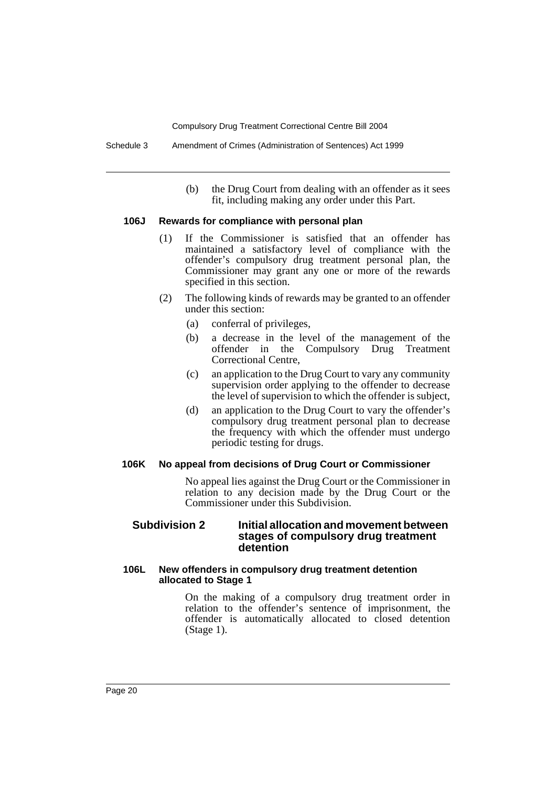(b) the Drug Court from dealing with an offender as it sees fit, including making any order under this Part.

#### **106J Rewards for compliance with personal plan**

- (1) If the Commissioner is satisfied that an offender has maintained a satisfactory level of compliance with the offender's compulsory drug treatment personal plan, the Commissioner may grant any one or more of the rewards specified in this section.
- (2) The following kinds of rewards may be granted to an offender under this section:
	- (a) conferral of privileges,
	- (b) a decrease in the level of the management of the offender in the Compulsory Drug Treatment offender in the Compulsory Drug Correctional Centre,
	- (c) an application to the Drug Court to vary any community supervision order applying to the offender to decrease the level of supervision to which the offender is subject,
	- (d) an application to the Drug Court to vary the offender's compulsory drug treatment personal plan to decrease the frequency with which the offender must undergo periodic testing for drugs.

#### **106K No appeal from decisions of Drug Court or Commissioner**

No appeal lies against the Drug Court or the Commissioner in relation to any decision made by the Drug Court or the Commissioner under this Subdivision.

#### **Subdivision 2 Initial allocation and movement between stages of compulsory drug treatment detention**

# **106L New offenders in compulsory drug treatment detention allocated to Stage 1**

On the making of a compulsory drug treatment order in relation to the offender's sentence of imprisonment, the offender is automatically allocated to closed detention (Stage 1).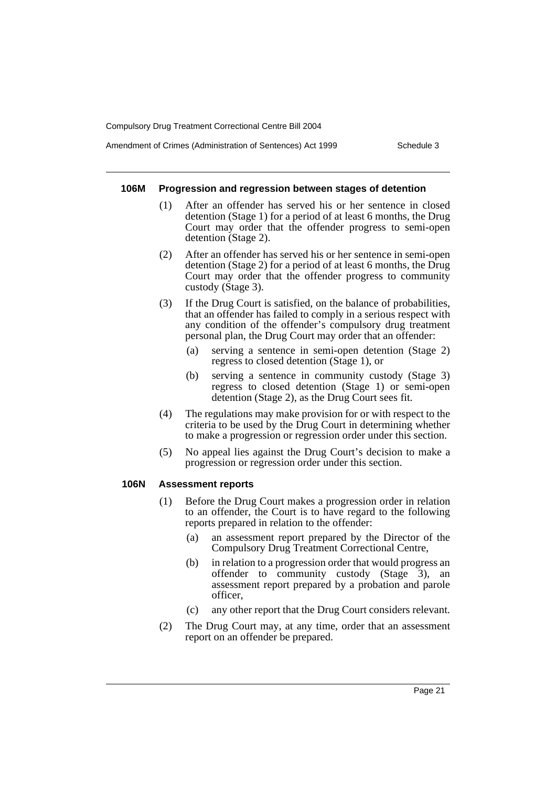#### Amendment of Crimes (Administration of Sentences) Act 1999 Schedule 3

#### **106M Progression and regression between stages of detention**

- (1) After an offender has served his or her sentence in closed detention (Stage 1) for a period of at least 6 months, the Drug Court may order that the offender progress to semi-open detention (Stage 2).
- (2) After an offender has served his or her sentence in semi-open detention (Stage 2) for a period of at least 6 months, the Drug Court may order that the offender progress to community custody (Stage 3).
- (3) If the Drug Court is satisfied, on the balance of probabilities, that an offender has failed to comply in a serious respect with any condition of the offender's compulsory drug treatment personal plan, the Drug Court may order that an offender:
	- (a) serving a sentence in semi-open detention (Stage 2) regress to closed detention (Stage 1), or
	- (b) serving a sentence in community custody (Stage 3) regress to closed detention (Stage 1) or semi-open detention (Stage 2), as the Drug Court sees fit.
- (4) The regulations may make provision for or with respect to the criteria to be used by the Drug Court in determining whether to make a progression or regression order under this section.
- (5) No appeal lies against the Drug Court's decision to make a progression or regression order under this section.

#### **106N Assessment reports**

- (1) Before the Drug Court makes a progression order in relation to an offender, the Court is to have regard to the following reports prepared in relation to the offender:
	- (a) an assessment report prepared by the Director of the Compulsory Drug Treatment Correctional Centre,
	- (b) in relation to a progression order that would progress an offender to community custody (Stage 3), an assessment report prepared by a probation and parole officer,
	- (c) any other report that the Drug Court considers relevant.
- (2) The Drug Court may, at any time, order that an assessment report on an offender be prepared.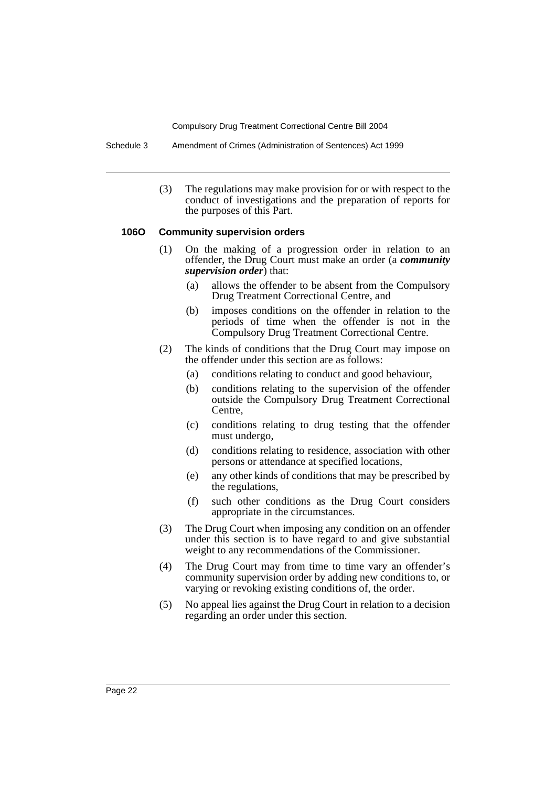Schedule 3 Amendment of Crimes (Administration of Sentences) Act 1999

(3) The regulations may make provision for or with respect to the conduct of investigations and the preparation of reports for the purposes of this Part.

#### **106O Community supervision orders**

- (1) On the making of a progression order in relation to an offender, the Drug Court must make an order (a *community supervision order*) that:
	- (a) allows the offender to be absent from the Compulsory Drug Treatment Correctional Centre, and
	- (b) imposes conditions on the offender in relation to the periods of time when the offender is not in the Compulsory Drug Treatment Correctional Centre.
- (2) The kinds of conditions that the Drug Court may impose on the offender under this section are as follows:
	- (a) conditions relating to conduct and good behaviour,
	- (b) conditions relating to the supervision of the offender outside the Compulsory Drug Treatment Correctional Centre,
	- (c) conditions relating to drug testing that the offender must undergo,
	- (d) conditions relating to residence, association with other persons or attendance at specified locations,
	- (e) any other kinds of conditions that may be prescribed by the regulations,
	- (f) such other conditions as the Drug Court considers appropriate in the circumstances.
- (3) The Drug Court when imposing any condition on an offender under this section is to have regard to and give substantial weight to any recommendations of the Commissioner.
- (4) The Drug Court may from time to time vary an offender's community supervision order by adding new conditions to, or varying or revoking existing conditions of, the order.
- (5) No appeal lies against the Drug Court in relation to a decision regarding an order under this section.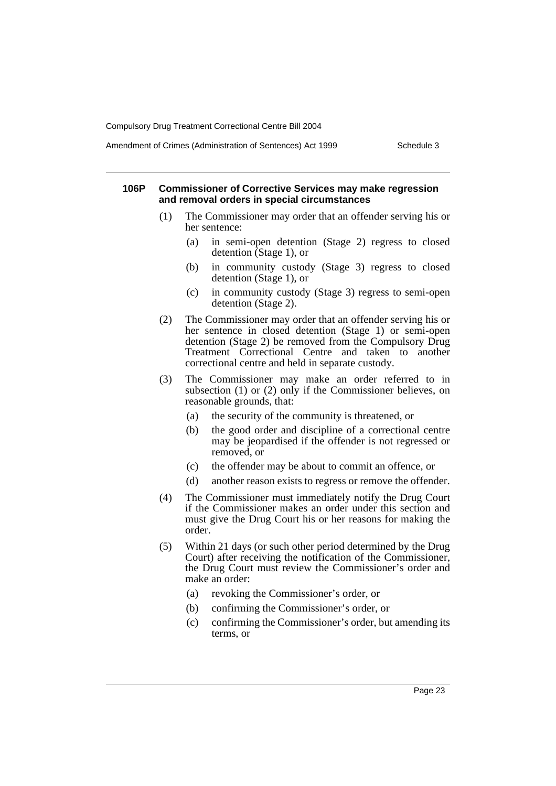#### Amendment of Crimes (Administration of Sentences) Act 1999 Schedule 3

#### **106P Commissioner of Corrective Services may make regression and removal orders in special circumstances**

- (1) The Commissioner may order that an offender serving his or her sentence:
	- (a) in semi-open detention (Stage 2) regress to closed detention (Stage 1), or
	- (b) in community custody (Stage 3) regress to closed detention (Stage 1), or
	- (c) in community custody (Stage 3) regress to semi-open detention (Stage 2).
- (2) The Commissioner may order that an offender serving his or her sentence in closed detention (Stage 1) or semi-open detention (Stage 2) be removed from the Compulsory Drug Treatment Correctional Centre and taken to another correctional centre and held in separate custody.
- (3) The Commissioner may make an order referred to in subsection (1) or (2) only if the Commissioner believes, on reasonable grounds, that:
	- (a) the security of the community is threatened, or
	- (b) the good order and discipline of a correctional centre may be jeopardised if the offender is not regressed or removed, or
	- (c) the offender may be about to commit an offence, or
	- (d) another reason exists to regress or remove the offender.
- (4) The Commissioner must immediately notify the Drug Court if the Commissioner makes an order under this section and must give the Drug Court his or her reasons for making the order.
- (5) Within 21 days (or such other period determined by the Drug Court) after receiving the notification of the Commissioner, the Drug Court must review the Commissioner's order and make an order:
	- (a) revoking the Commissioner's order, or
	- (b) confirming the Commissioner's order, or
	- (c) confirming the Commissioner's order, but amending its terms, or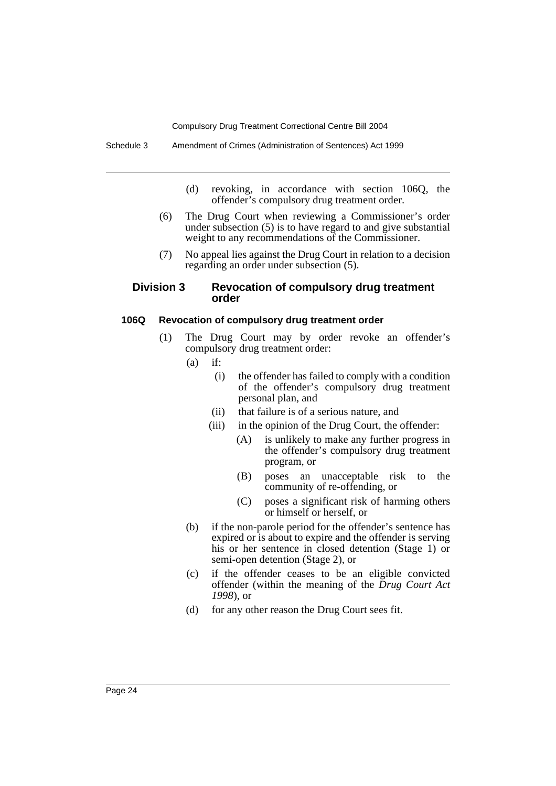- (d) revoking, in accordance with section 106Q, the offender's compulsory drug treatment order.
- (6) The Drug Court when reviewing a Commissioner's order under subsection (5) is to have regard to and give substantial weight to any recommendations of the Commissioner.
- (7) No appeal lies against the Drug Court in relation to a decision regarding an order under subsection (5).

# **Division 3 Revocation of compulsory drug treatment order**

#### **106Q Revocation of compulsory drug treatment order**

- (1) The Drug Court may by order revoke an offender's compulsory drug treatment order:
	- $(a)$  if:
		- (i) the offender has failed to comply with a condition of the offender's compulsory drug treatment personal plan, and
		- (ii) that failure is of a serious nature, and
		- (iii) in the opinion of the Drug Court, the offender:
			- (A) is unlikely to make any further progress in the offender's compulsory drug treatment program, or
			- (B) poses an unacceptable risk to the community of re-offending, or
			- (C) poses a significant risk of harming others or himself or herself, or
	- (b) if the non-parole period for the offender's sentence has expired or is about to expire and the offender is serving his or her sentence in closed detention (Stage 1) or semi-open detention (Stage 2), or
	- (c) if the offender ceases to be an eligible convicted offender (within the meaning of the *Drug Court Act 1998*), or
	- (d) for any other reason the Drug Court sees fit.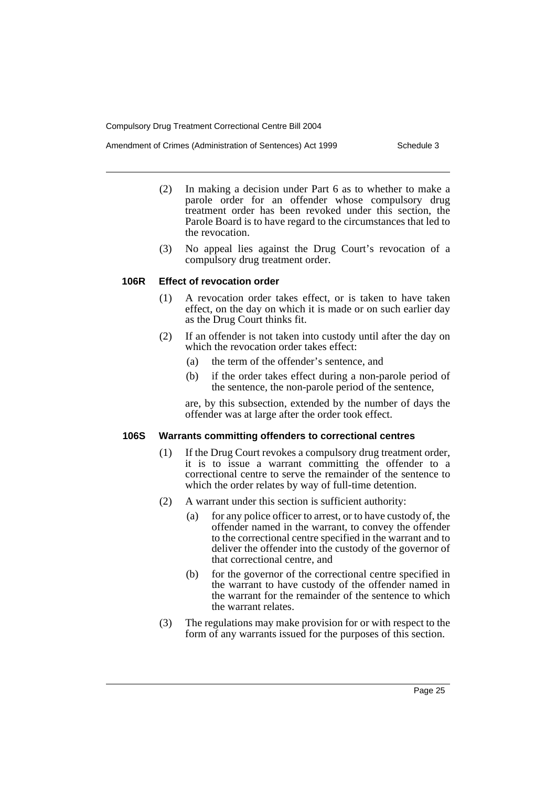- (2) In making a decision under Part 6 as to whether to make a parole order for an offender whose compulsory drug treatment order has been revoked under this section, the Parole Board is to have regard to the circumstances that led to the revocation.
- (3) No appeal lies against the Drug Court's revocation of a compulsory drug treatment order.

#### **106R Effect of revocation order**

- (1) A revocation order takes effect, or is taken to have taken effect, on the day on which it is made or on such earlier day as the Drug Court thinks fit.
- (2) If an offender is not taken into custody until after the day on which the revocation order takes effect:
	- (a) the term of the offender's sentence, and
	- (b) if the order takes effect during a non-parole period of the sentence, the non-parole period of the sentence,

are, by this subsection, extended by the number of days the offender was at large after the order took effect.

# **106S Warrants committing offenders to correctional centres**

- (1) If the Drug Court revokes a compulsory drug treatment order, it is to issue a warrant committing the offender to a correctional centre to serve the remainder of the sentence to which the order relates by way of full-time detention.
- (2) A warrant under this section is sufficient authority:
	- (a) for any police officer to arrest, or to have custody of, the offender named in the warrant, to convey the offender to the correctional centre specified in the warrant and to deliver the offender into the custody of the governor of that correctional centre, and
	- (b) for the governor of the correctional centre specified in the warrant to have custody of the offender named in the warrant for the remainder of the sentence to which the warrant relates.
- (3) The regulations may make provision for or with respect to the form of any warrants issued for the purposes of this section.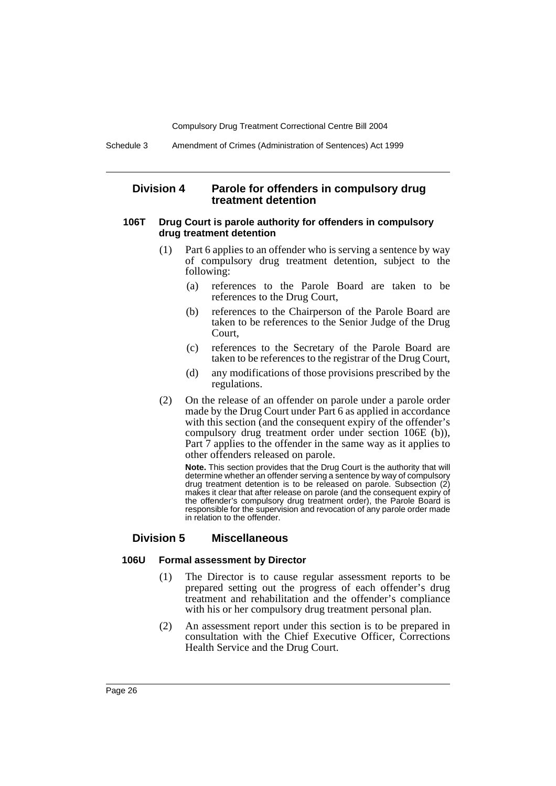# **Division 4 Parole for offenders in compulsory drug treatment detention**

#### **106T Drug Court is parole authority for offenders in compulsory drug treatment detention**

- (1) Part 6 applies to an offender who is serving a sentence by way of compulsory drug treatment detention, subject to the following:
	- (a) references to the Parole Board are taken to be references to the Drug Court,
	- (b) references to the Chairperson of the Parole Board are taken to be references to the Senior Judge of the Drug Court,
	- (c) references to the Secretary of the Parole Board are taken to be references to the registrar of the Drug Court,
	- (d) any modifications of those provisions prescribed by the regulations.
- (2) On the release of an offender on parole under a parole order made by the Drug Court under Part 6 as applied in accordance with this section (and the consequent expiry of the offender's compulsory drug treatment order under section 106E (b)), Part 7 applies to the offender in the same way as it applies to other offenders released on parole.

**Note.** This section provides that the Drug Court is the authority that will determine whether an offender serving a sentence by way of compulsory drug treatment detention is to be released on parole. Subsection (2) makes it clear that after release on parole (and the consequent expiry of the offender's compulsory drug treatment order), the Parole Board is responsible for the supervision and revocation of any parole order made in relation to the offender.

# **Division 5 Miscellaneous**

#### **106U Formal assessment by Director**

- (1) The Director is to cause regular assessment reports to be prepared setting out the progress of each offender's drug treatment and rehabilitation and the offender's compliance with his or her compulsory drug treatment personal plan.
- (2) An assessment report under this section is to be prepared in consultation with the Chief Executive Officer, Corrections Health Service and the Drug Court.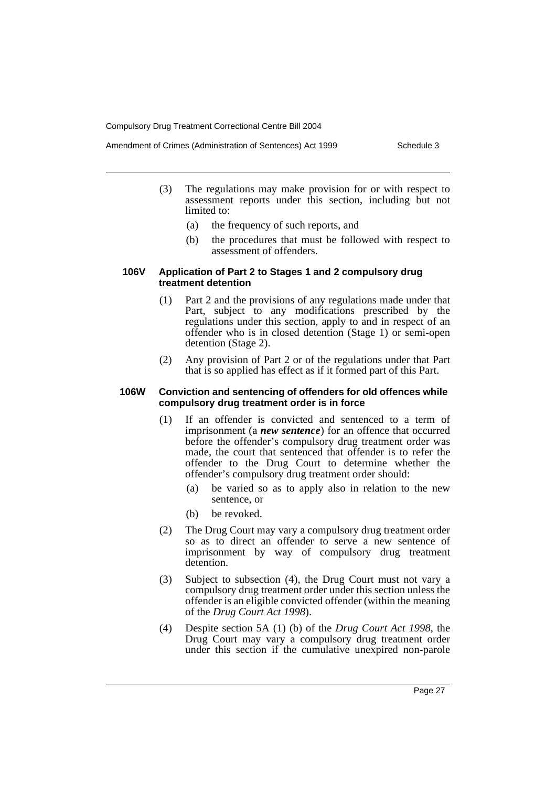- Amendment of Crimes (Administration of Sentences) Act 1999 Schedule 3
	- (3) The regulations may make provision for or with respect to assessment reports under this section, including but not limited to:
		- (a) the frequency of such reports, and
		- (b) the procedures that must be followed with respect to assessment of offenders.

#### **106V Application of Part 2 to Stages 1 and 2 compulsory drug treatment detention**

- (1) Part 2 and the provisions of any regulations made under that Part, subject to any modifications prescribed by the regulations under this section, apply to and in respect of an offender who is in closed detention (Stage 1) or semi-open detention (Stage 2).
- (2) Any provision of Part 2 or of the regulations under that Part that is so applied has effect as if it formed part of this Part.

#### **106W Conviction and sentencing of offenders for old offences while compulsory drug treatment order is in force**

- (1) If an offender is convicted and sentenced to a term of imprisonment (a *new sentence*) for an offence that occurred before the offender's compulsory drug treatment order was made, the court that sentenced that offender is to refer the offender to the Drug Court to determine whether the offender's compulsory drug treatment order should:
	- (a) be varied so as to apply also in relation to the new sentence, or
	- (b) be revoked.
- (2) The Drug Court may vary a compulsory drug treatment order so as to direct an offender to serve a new sentence of imprisonment by way of compulsory drug treatment detention.
- (3) Subject to subsection (4), the Drug Court must not vary a compulsory drug treatment order under this section unless the offender is an eligible convicted offender (within the meaning of the *Drug Court Act 1998*).
- (4) Despite section 5A (1) (b) of the *Drug Court Act 1998*, the Drug Court may vary a compulsory drug treatment order under this section if the cumulative unexpired non-parole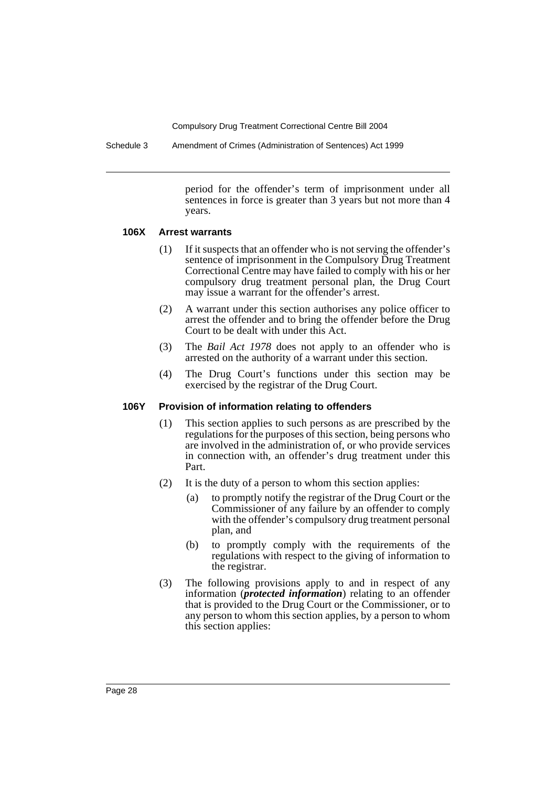Schedule 3 Amendment of Crimes (Administration of Sentences) Act 1999

period for the offender's term of imprisonment under all sentences in force is greater than 3 years but not more than 4 years.

#### **106X Arrest warrants**

- (1) If it suspects that an offender who is not serving the offender's sentence of imprisonment in the Compulsory Drug Treatment Correctional Centre may have failed to comply with his or her compulsory drug treatment personal plan, the Drug Court may issue a warrant for the offender's arrest.
- (2) A warrant under this section authorises any police officer to arrest the offender and to bring the offender before the Drug Court to be dealt with under this Act.
- (3) The *Bail Act 1978* does not apply to an offender who is arrested on the authority of a warrant under this section.
- (4) The Drug Court's functions under this section may be exercised by the registrar of the Drug Court.

# **106Y Provision of information relating to offenders**

- (1) This section applies to such persons as are prescribed by the regulations for the purposes of this section, being persons who are involved in the administration of, or who provide services in connection with, an offender's drug treatment under this Part.
- (2) It is the duty of a person to whom this section applies:
	- (a) to promptly notify the registrar of the Drug Court or the Commissioner of any failure by an offender to comply with the offender's compulsory drug treatment personal plan, and
	- (b) to promptly comply with the requirements of the regulations with respect to the giving of information to the registrar.
- (3) The following provisions apply to and in respect of any information (*protected information*) relating to an offender that is provided to the Drug Court or the Commissioner, or to any person to whom this section applies, by a person to whom this section applies: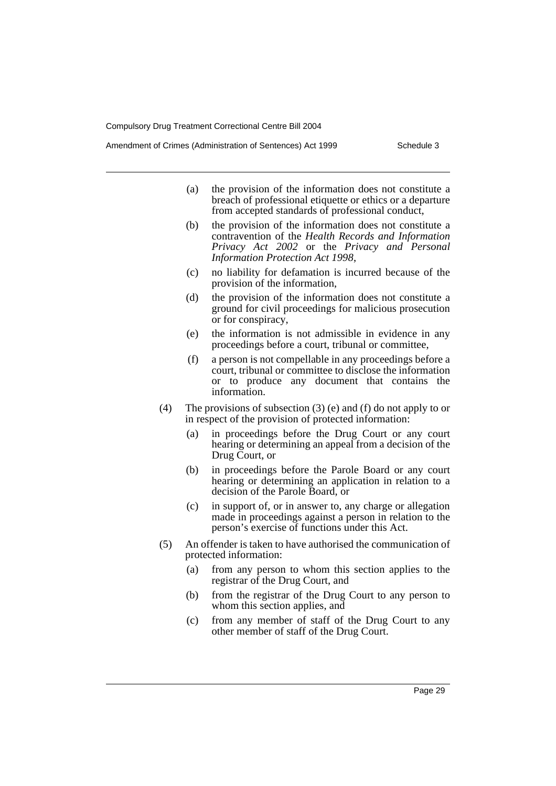- (a) the provision of the information does not constitute a breach of professional etiquette or ethics or a departure from accepted standards of professional conduct,
- (b) the provision of the information does not constitute a contravention of the *Health Records and Information Privacy Act 2002* or the *Privacy and Personal Information Protection Act 1998*,
- (c) no liability for defamation is incurred because of the provision of the information,
- (d) the provision of the information does not constitute a ground for civil proceedings for malicious prosecution or for conspiracy,
- (e) the information is not admissible in evidence in any proceedings before a court, tribunal or committee,
- (f) a person is not compellable in any proceedings before a court, tribunal or committee to disclose the information or to produce any document that contains the information.
- (4) The provisions of subsection (3) (e) and (f) do not apply to or in respect of the provision of protected information:
	- (a) in proceedings before the Drug Court or any court hearing or determining an appeal from a decision of the Drug Court, or
	- (b) in proceedings before the Parole Board or any court hearing or determining an application in relation to a decision of the Parole Board, or
	- (c) in support of, or in answer to, any charge or allegation made in proceedings against a person in relation to the person's exercise of functions under this Act.
- (5) An offender is taken to have authorised the communication of protected information:
	- (a) from any person to whom this section applies to the registrar of the Drug Court, and
	- (b) from the registrar of the Drug Court to any person to whom this section applies, and
	- (c) from any member of staff of the Drug Court to any other member of staff of the Drug Court.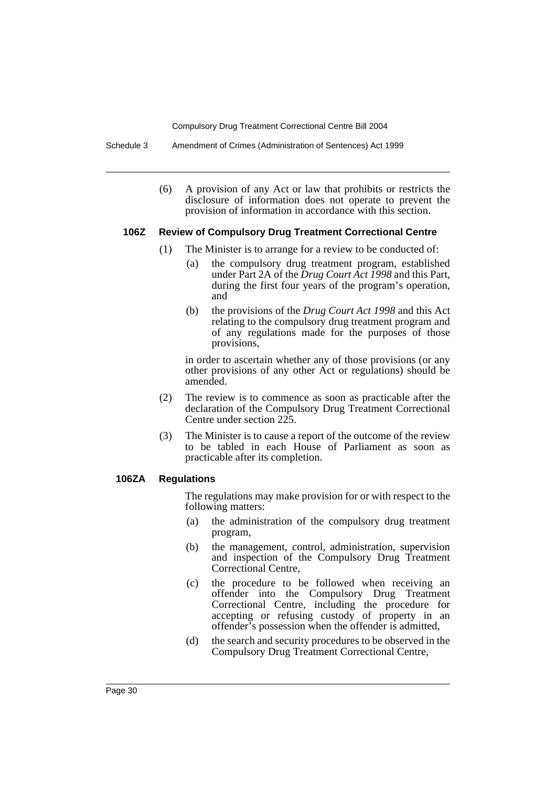Schedule 3 Amendment of Crimes (Administration of Sentences) Act 1999

(6) A provision of any Act or law that prohibits or restricts the disclosure of information does not operate to prevent the provision of information in accordance with this section.

#### **106Z Review of Compulsory Drug Treatment Correctional Centre**

- (1) The Minister is to arrange for a review to be conducted of:
	- (a) the compulsory drug treatment program, established under Part 2A of the *Drug Court Act 1998* and this Part, during the first four years of the program's operation, and
	- (b) the provisions of the *Drug Court Act 1998* and this Act relating to the compulsory drug treatment program and of any regulations made for the purposes of those provisions,

in order to ascertain whether any of those provisions (or any other provisions of any other Act or regulations) should be amended.

- (2) The review is to commence as soon as practicable after the declaration of the Compulsory Drug Treatment Correctional Centre under section 225.
- (3) The Minister is to cause a report of the outcome of the review to be tabled in each House of Parliament as soon as practicable after its completion.

# **106ZA Regulations**

The regulations may make provision for or with respect to the following matters:

- (a) the administration of the compulsory drug treatment program,
- (b) the management, control, administration, supervision and inspection of the Compulsory Drug Treatment Correctional Centre,
- (c) the procedure to be followed when receiving an offender into the Compulsory Drug Treatment Correctional Centre, including the procedure for accepting or refusing custody of property in an offender's possession when the offender is admitted,
- (d) the search and security procedures to be observed in the Compulsory Drug Treatment Correctional Centre,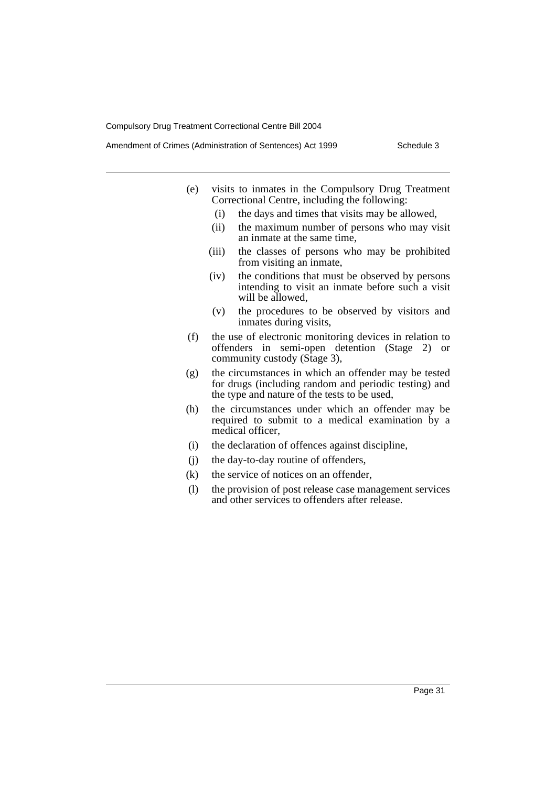- (e) visits to inmates in the Compulsory Drug Treatment Correctional Centre, including the following:
	- (i) the days and times that visits may be allowed,
	- (ii) the maximum number of persons who may visit an inmate at the same time,
	- (iii) the classes of persons who may be prohibited from visiting an inmate,
	- (iv) the conditions that must be observed by persons intending to visit an inmate before such a visit will be allowed,
	- (v) the procedures to be observed by visitors and inmates during visits,
- (f) the use of electronic monitoring devices in relation to offenders in semi-open detention (Stage 2) or community custody (Stage 3),
- (g) the circumstances in which an offender may be tested for drugs (including random and periodic testing) and the type and nature of the tests to be used,
- (h) the circumstances under which an offender may be required to submit to a medical examination by a medical officer,
- (i) the declaration of offences against discipline,
- (j) the day-to-day routine of offenders,
- (k) the service of notices on an offender,
- (l) the provision of post release case management services and other services to offenders after release.